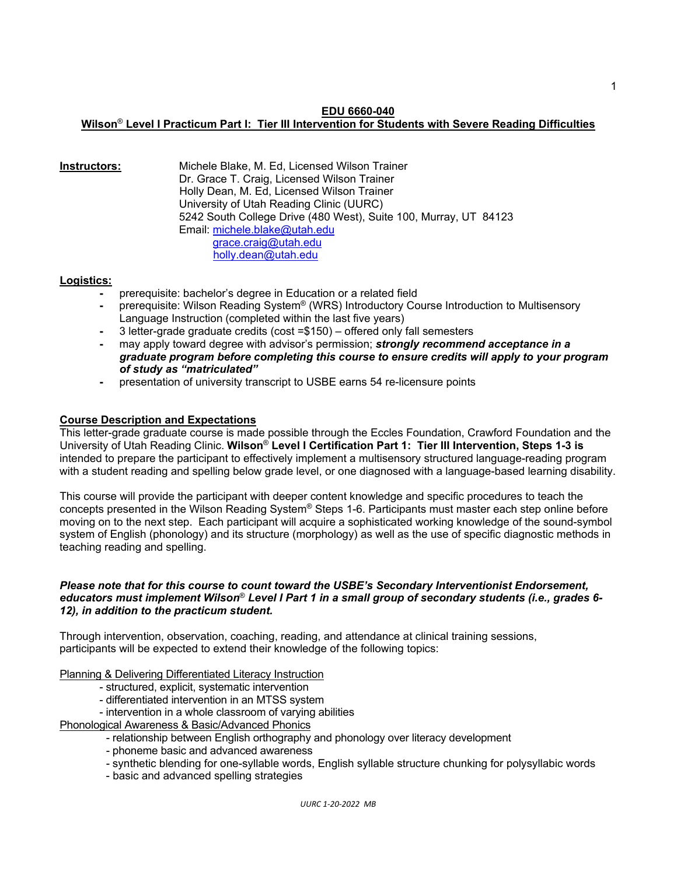#### **EDU 6660-040**

# **Wilson**® **Level I Practicum Part I: Tier III Intervention for Students with Severe Reading Difficulties**

**Instructors:** Michele Blake, M. Ed, Licensed Wilson Trainer Dr. Grace T. Craig, Licensed Wilson Trainer Holly Dean, M. Ed, Licensed Wilson Trainer University of Utah Reading Clinic (UURC) 5242 South College Drive (480 West), Suite 100, Murray, UT 84123 Email: [michele.blake@utah.edu](mailto:michele.blake@utah.edu) [grace.craig@utah.edu](mailto:grace.craig@utah.edu) [holly.dean@utah.edu](mailto:holly.dean@utah.edu)

## **Logistics:**

- **-** prerequisite: bachelor's degree in Education or a related field
- **-** prerequisite: Wilson Reading System® (WRS) Introductory Course Introduction to Multisensory Language Instruction (completed within the last five years)
- **-** 3 letter-grade graduate credits (cost =\$150) offered only fall semesters
- **-** may apply toward degree with advisor's permission; *strongly recommend acceptance in a graduate program before completing this course to ensure credits will apply to your program of study as "matriculated"*
- **-** presentation of university transcript to USBE earns 54 re-licensure points

## **Course Description and Expectations**

This letter-grade graduate course is made possible through the Eccles Foundation, Crawford Foundation and the University of Utah Reading Clinic. **Wilson**® **Level I Certification Part 1: Tier III Intervention, Steps 1-3 is** intended to prepare the participant to effectively implement a multisensory structured language-reading program with a student reading and spelling below grade level, or one diagnosed with a language-based learning disability.

This course will provide the participant with deeper content knowledge and specific procedures to teach the concepts presented in the Wilson Reading System® Steps 1-6. Participants must master each step online before moving on to the next step. Each participant will acquire a sophisticated working knowledge of the sound-symbol system of English (phonology) and its structure (morphology) as well as the use of specific diagnostic methods in teaching reading and spelling.

### *Please note that for this course to count toward the USBE's Secondary Interventionist Endorsement, educators must implement Wilson*® *Level I Part 1 in a small group of secondary students (i.e., grades 6- 12), in addition to the practicum student.*

Through intervention, observation, coaching, reading, and attendance at clinical training sessions, participants will be expected to extend their knowledge of the following topics:

Planning & Delivering Differentiated Literacy Instruction

- structured, explicit, systematic intervention
- differentiated intervention in an MTSS system
- intervention in a whole classroom of varying abilities

Phonological Awareness & Basic/Advanced Phonics

- relationship between English orthography and phonology over literacy development
- phoneme basic and advanced awareness
- synthetic blending for one-syllable words, English syllable structure chunking for polysyllabic words
- basic and advanced spelling strategies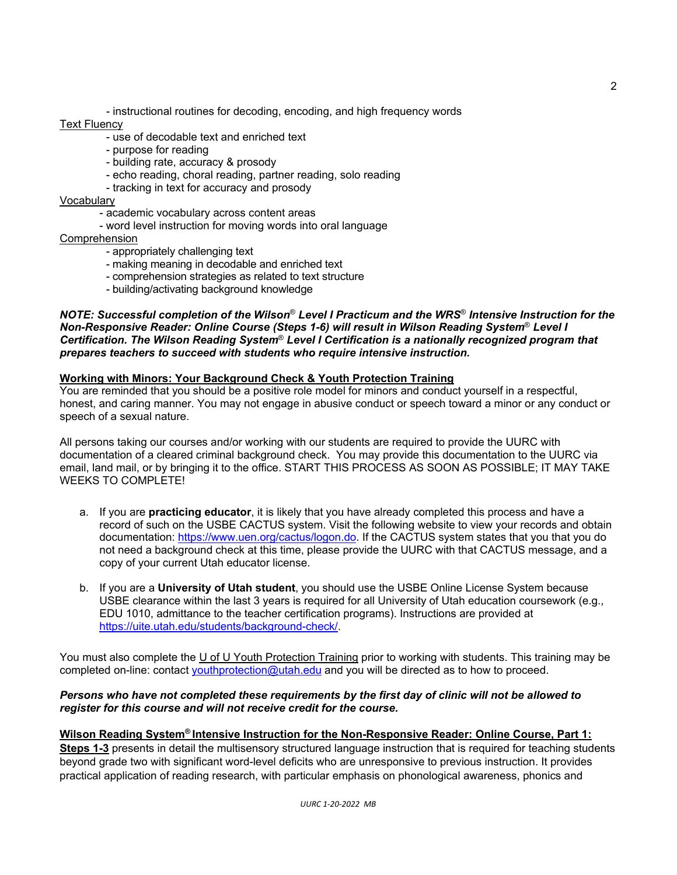- instructional routines for decoding, encoding, and high frequency words

# Text Fluency

- use of decodable text and enriched text
- purpose for reading
- building rate, accuracy & prosody
- echo reading, choral reading, partner reading, solo reading
- tracking in text for accuracy and prosody

#### Vocabulary

- academic vocabulary across content areas
- word level instruction for moving words into oral language

### Comprehension

- appropriately challenging text
- making meaning in decodable and enriched text
- comprehension strategies as related to text structure
- building/activating background knowledge

*NOTE: Successful completion of the Wilson*® *Level I Practicum and the WRS*® *Intensive Instruction for the Non-Responsive Reader: Online Course (Steps 1-6) will result in Wilson Reading System*® *Level I Certification. The Wilson Reading System*® *Level I Certification is a nationally recognized program that prepares teachers to succeed with students who require intensive instruction.* 

## **Working with Minors: Your Background Check & Youth Protection Training**

You are reminded that you should be a positive role model for minors and conduct yourself in a respectful, honest, and caring manner. You may not engage in abusive conduct or speech toward a minor or any conduct or speech of a sexual nature.

All persons taking our courses and/or working with our students are required to provide the UURC with documentation of a cleared criminal background check. You may provide this documentation to the UURC via email, land mail, or by bringing it to the office. START THIS PROCESS AS SOON AS POSSIBLE; IT MAY TAKE WEEKS TO COMPLETE!

- a. If you are **practicing educator**, it is likely that you have already completed this process and have a record of such on the USBE CACTUS system. Visit the following website to view your records and obtain documentation: [https://www.uen.org/cactus/logon.do.](https://www.uen.org/cactus/logon.do) If the CACTUS system states that you that you do not need a background check at this time, please provide the UURC with that CACTUS message, and a copy of your current Utah educator license.
- b. If you are a **University of Utah student**, you should use the USBE Online License System because USBE clearance within the last 3 years is required for all University of Utah education coursework (e.g., EDU 1010, admittance to the teacher certification programs). Instructions are provided at [https://uite.utah.edu/students/background-check/.](https://uite.utah.edu/students/background-check/)

You must also complete the U of U Youth Protection Training prior to working with students. This training may be completed on-line: contact [youthprotection@utah.edu](mailto:youthprotection@utah.edu) and you will be directed as to how to proceed.

## *Persons who have not completed these requirements by the first day of clinic will not be allowed to register for this course and will not receive credit for the course.*

# **Wilson Reading System® Intensive Instruction for the Non-Responsive Reader: Online Course, Part 1:**

**Steps 1-3** presents in detail the multisensory structured language instruction that is required for teaching students beyond grade two with significant word-level deficits who are unresponsive to previous instruction. It provides practical application of reading research, with particular emphasis on phonological awareness, phonics and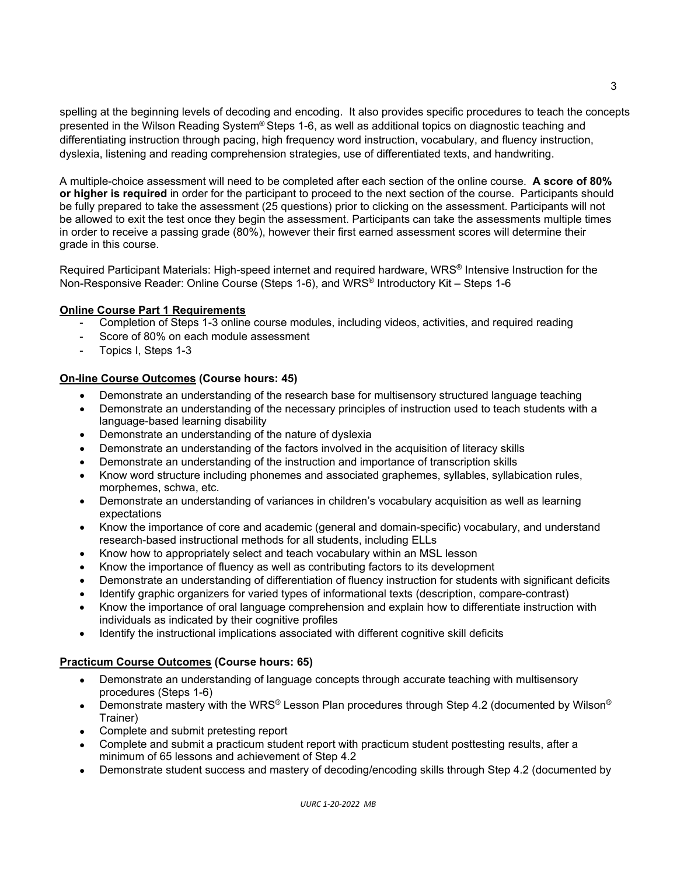spelling at the beginning levels of decoding and encoding. It also provides specific procedures to teach the concepts presented in the Wilson Reading System® Steps 1-6, as well as additional topics on diagnostic teaching and differentiating instruction through pacing, high frequency word instruction, vocabulary, and fluency instruction, dyslexia, listening and reading comprehension strategies, use of differentiated texts, and handwriting.

A multiple-choice assessment will need to be completed after each section of the online course. **A score of 80% or higher is required** in order for the participant to proceed to the next section of the course. Participants should be fully prepared to take the assessment (25 questions) prior to clicking on the assessment. Participants will not be allowed to exit the test once they begin the assessment. Participants can take the assessments multiple times in order to receive a passing grade (80%), however their first earned assessment scores will determine their grade in this course.

Required Participant Materials: High-speed internet and required hardware, WRS® Intensive Instruction for the Non-Responsive Reader: Online Course (Steps 1-6), and WRS® Introductory Kit – Steps 1-6

# **Online Course Part 1 Requirements**

- Completion of Steps 1-3 online course modules, including videos, activities, and required reading
- Score of 80% on each module assessment
- Topics I, Steps 1-3

# **On-line Course Outcomes (Course hours: 45)**

- Demonstrate an understanding of the research base for multisensory structured language teaching
- Demonstrate an understanding of the necessary principles of instruction used to teach students with a language-based learning disability
- Demonstrate an understanding of the nature of dyslexia
- Demonstrate an understanding of the factors involved in the acquisition of literacy skills
- Demonstrate an understanding of the instruction and importance of transcription skills
- Know word structure including phonemes and associated graphemes, syllables, syllabication rules, morphemes, schwa, etc.
- Demonstrate an understanding of variances in children's vocabulary acquisition as well as learning expectations
- Know the importance of core and academic (general and domain-specific) vocabulary, and understand research-based instructional methods for all students, including ELLs
- Know how to appropriately select and teach vocabulary within an MSL lesson
- Know the importance of fluency as well as contributing factors to its development
- Demonstrate an understanding of differentiation of fluency instruction for students with significant deficits
- Identify graphic organizers for varied types of informational texts (description, compare-contrast)
- Know the importance of oral language comprehension and explain how to differentiate instruction with individuals as indicated by their cognitive profiles
- Identify the instructional implications associated with different cognitive skill deficits

# **Practicum Course Outcomes (Course hours: 65)**

- Demonstrate an understanding of language concepts through accurate teaching with multisensory procedures (Steps 1-6)
- Demonstrate mastery with the WRS® Lesson Plan procedures through Step 4.2 (documented by Wilson® Trainer)
- Complete and submit pretesting report
- Complete and submit a practicum student report with practicum student posttesting results, after a minimum of 65 lessons and achievement of Step 4.2
- Demonstrate student success and mastery of decoding/encoding skills through Step 4.2 (documented by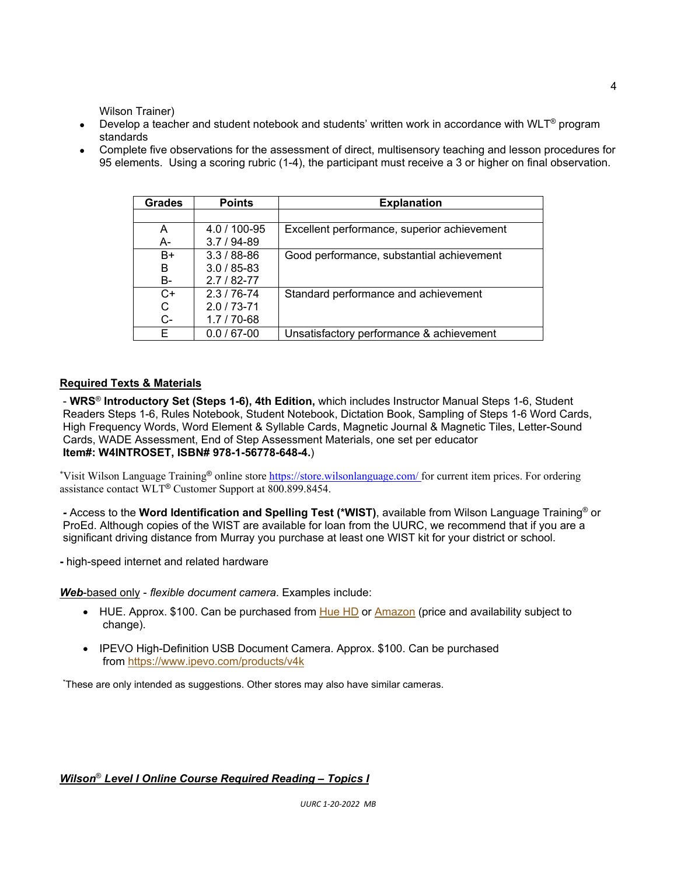Wilson Trainer)

- Develop a teacher and student notebook and students' written work in accordance with WLT<sup>®</sup> program standards
- Complete five observations for the assessment of direct, multisensory teaching and lesson procedures for 95 elements. Using a scoring rubric (1-4), the participant must receive a 3 or higher on final observation.

| <b>Grades</b> | <b>Points</b>   | <b>Explanation</b>                          |
|---------------|-----------------|---------------------------------------------|
|               |                 |                                             |
| A             | 4.0 / 100-95    | Excellent performance, superior achievement |
| А-            | $3.7/94-89$     |                                             |
| B+            | $3.3/88 - 86$   | Good performance, substantial achievement   |
| B             | $3.0 / 85 - 83$ |                                             |
| B-            | $2.7/82 - 77$   |                                             |
| $C+$          | $2.3/76 - 74$   | Standard performance and achievement        |
| C             | $2.0/73 - 71$   |                                             |
| $C -$         | $1.7/70-68$     |                                             |
| F             | $0.0 / 67 - 00$ | Unsatisfactory performance & achievement    |

# **Required Texts & Materials**

- **WRS**® **Introductory Set (Steps 1-6), 4th Edition,** which includes Instructor Manual Steps 1-6, Student Readers Steps 1-6, Rules Notebook, Student Notebook, Dictation Book, Sampling of Steps 1-6 Word Cards, High Frequency Words, Word Element & Syllable Cards, Magnetic Journal & Magnetic Tiles, Letter-Sound Cards, WADE Assessment, End of Step Assessment Materials, one set per educator **Item#: W4INTROSET, ISBN# 978-1-56778-648-4.**)

\*Visit Wilson Language Training® online store *https://store.wilsonlanguage.com/* for current item prices. For ordering assistance contact WLT® Customer Support at 800.899.8454.

*-* Access to the **Word Identification and Spelling Test (\*WIST)**, available from Wilson Language Training® or ProEd. Although copies of the WIST are available for loan from the UURC, we recommend that if you are a significant driving distance from Murray you purchase at least one WIST kit for your district or school.

**-** high-speed internet and related hardware

*Web*-based only - *flexible document camera*. Examples include:

- HUE. Approx. \$100. Can be purchased from [Hue HD](https://huehd.com/) or [Amazon](https://www.amazon.com/HUE-Document-Camera-Windows-Chrome/dp/B00U7LV3UI/?keywords=HUE+Document+camera+windows+clue) (price and availability subject to change).
- IPEVO High-Definition USB Document Camera. Approx. \$100. Can be purchased from <https://www.ipevo.com/products/v4k>

\* These are only intended as suggestions. Other stores may also have similar cameras.

# *Wilson*® *Level I Online Course Required Reading – Topics I*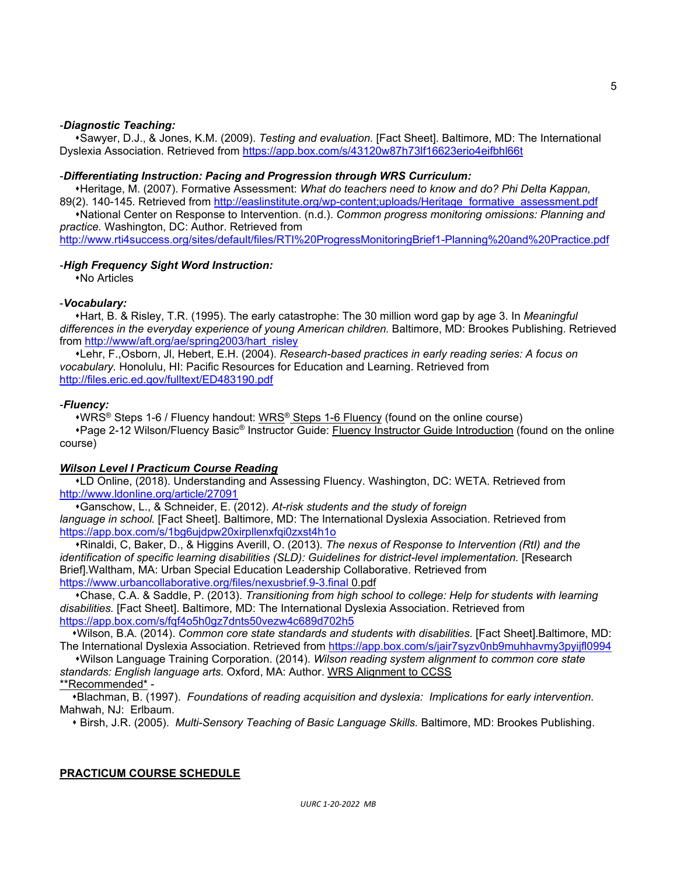### -*Diagnostic Teaching:*

Sawyer, D.J., & Jones, K.M. (2009). *Testing and evaluation.* [Fact Sheet]. Baltimore, MD: The International Dyslexia Association. Retrieved from<https://app.box.com/s/43120w87h73lf16623erio4eifbhl66t>

#### -*Differentiating Instruction: Pacing and Progression through WRS Curriculum:*

 Heritage, M. (2007). Formative Assessment: *What do teachers need to know and do? Phi Delta Kappan,* 89(2). 140-145. Retrieved from [http://easlinstitute.org/wp-content;uploads/Heritage\\_formative\\_assessment.pdf](http://easlinstitute.org/wp-content;uploads/Heritage_formative_assessment.pdf)

 National Center on Response to Intervention. (n.d.). *Common progress monitoring omissions: Planning and practice.* Washington, DC: Author. Retrieved from

<http://www.rti4success.org/sites/default/files/RTI%20ProgressMonitoringBrief1-Planning%20and%20Practice.pdf>

#### -*High Frequency Sight Word Instruction:*

No Articles

### -*Vocabulary:*

 Hart, B. & Risley, T.R. (1995). The early catastrophe: The 30 million word gap by age 3. In *Meaningful differences in the everyday experience of young American children.* Baltimore, MD: Brookes Publishing. Retrieved from [http://www/aft.org/ae/spring2003/hart\\_risley](http://www/aft.org/ae/spring2003/hart_risley)

 Lehr, F.,Osborn, Jl, Hebert, E.H. (2004). *Research-based practices in early reading series: A focus on vocabulary.* Honolulu, HI: Pacific Resources for Education and Learning. Retrieved from <http://files.eric.ed.gov/fulltext/ED483190.pdf>

#### -*Fluency:*

•WRS<sup>®</sup> Steps 1-6 / Fluency handout: WRS<sup>®</sup> Steps 1-6 Fluency (found on the online course) \*Page 2-12 Wilson/Fluency Basic® Instructor Guide: Fluency Instructor Guide Introduction (found on the online course)

### *Wilson Level I Practicum Course Reading*

 LD Online, (2018). Understanding and Assessing Fluency. Washington, DC: WETA. Retrieved from <http://www.ldonline.org/article/27091>

 Ganschow, L., & Schneider, E. (2012). *At-risk students and the study of foreign language in school.* [Fact Sheet]. Baltimore, MD: The International Dyslexia Association. Retrieved from <https://app.box.com/s/1bg6ujdpw20xirpllenxfqi0zxst4h1o>

 Rinaldi, C, Baker, D., & Higgins Averill, O. (2013). *The nexus of Response to Intervention (RtI) and the identification of specific learning disabilities (SLD): Guidelines for district-level implementation.* [Research Brief].Waltham, MA: Urban Special Education Leadership Collaborative. Retrieved from <https://www.urbancollaborative.org/files/nexusbrief.9-3.final> 0.pdf

 Chase, C.A. & Saddle, P. (2013). *Transitioning from high school to college: Help for students with learning disabilities.* [Fact Sheet]. Baltimore, MD: The International Dyslexia Association. Retrieved from <https://app.box.com/s/fqf4o5h0gz7dnts50vezw4c689d702h5>

 Wilson, B.A. (2014). *Common core state standards and students with disabilities.* [Fact Sheet].Baltimore, MD: The International Dyslexia Association. Retrieved from<https://app.box.com/s/jair7syzv0nb9muhhavmy3pyijfl0994>

 Wilson Language Training Corporation. (2014). *Wilson reading system alignment to common core state standards: English language arts.* Oxford, MA: Author. WRS Alignment to CCSS

# \*\*Recommended\* -

 Blachman, B. (1997). *Foundations of reading acquisition and dyslexia: Implications for early intervention*. Mahwah, NJ: Erlbaum.

Birsh, J.R. (2005). *Multi-Sensory Teaching of Basic Language Skills.* Baltimore, MD: Brookes Publishing.

#### **PRACTICUM COURSE SCHEDULE**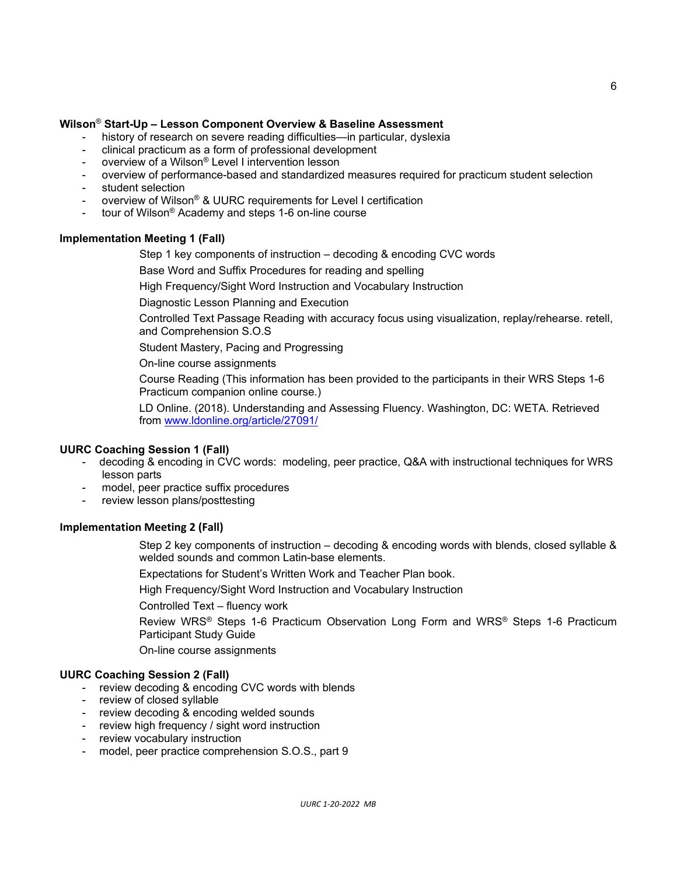## **Wilson**® **Start-Up – Lesson Component Overview & Baseline Assessment**

- history of research on severe reading difficulties—in particular, dyslexia
- clinical practicum as a form of professional development
- overview of a Wilson® Level I intervention lesson
- overview of performance-based and standardized measures required for practicum student selection
- student selection
- overview of Wilson® & UURC requirements for Level I certification
- tour of Wilson® Academy and steps 1-6 on-line course

#### **Implementation Meeting 1 (Fall)**

Step 1 key components of instruction – decoding & encoding CVC words

Base Word and Suffix Procedures for reading and spelling

High Frequency/Sight Word Instruction and Vocabulary Instruction

Diagnostic Lesson Planning and Execution

Controlled Text Passage Reading with accuracy focus using visualization, replay/rehearse. retell, and Comprehension S.O.S

Student Mastery, Pacing and Progressing

On-line course assignments

Course Reading (This information has been provided to the participants in their WRS Steps 1-6 Practicum companion online course.)

LD Online. (2018). Understanding and Assessing Fluency. Washington, DC: WETA. Retrieved from [www.ldonline.org/article/27091/](http://www.ldonline.org/article/27091/) 

### **UURC Coaching Session 1 (Fall)**

- decoding & encoding in CVC words: modeling, peer practice, Q&A with instructional techniques for WRS lesson parts
- model, peer practice suffix procedures
- review lesson plans/posttesting

#### **Implementation Meeting 2 (Fall)**

Step 2 key components of instruction – decoding & encoding words with blends, closed syllable & welded sounds and common Latin-base elements.

Expectations for Student's Written Work and Teacher Plan book.

High Frequency/Sight Word Instruction and Vocabulary Instruction

Controlled Text – fluency work

Review WRS® Steps 1-6 Practicum Observation Long Form and WRS® Steps 1-6 Practicum Participant Study Guide

On-line course assignments

#### **UURC Coaching Session 2 (Fall)**

- review decoding & encoding CVC words with blends
- review of closed syllable
- review decoding & encoding welded sounds
- review high frequency / sight word instruction
- review vocabulary instruction
- model, peer practice comprehension S.O.S., part 9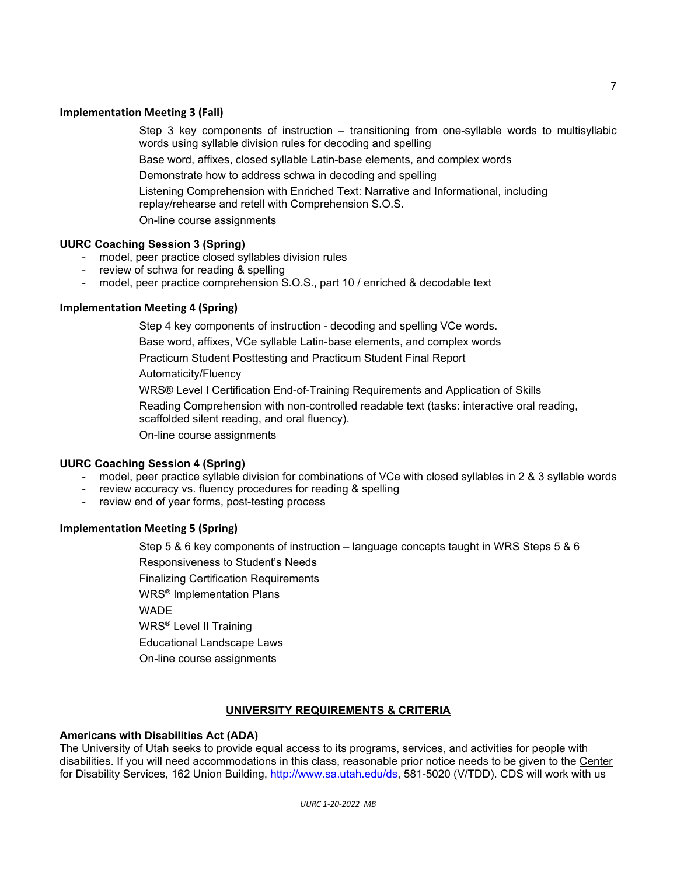## **Implementation Meeting 3 (Fall)**

Step 3 key components of instruction – transitioning from one-syllable words to multisyllabic words using syllable division rules for decoding and spelling

Base word, affixes, closed syllable Latin-base elements, and complex words

Demonstrate how to address schwa in decoding and spelling

Listening Comprehension with Enriched Text: Narrative and Informational, including replay/rehearse and retell with Comprehension S.O.S.

On-line course assignments

## **UURC Coaching Session 3 (Spring)**

- model, peer practice closed syllables division rules
- review of schwa for reading & spelling
- model, peer practice comprehension S.O.S., part 10 / enriched & decodable text

## **Implementation Meeting 4 (Spring)**

Step 4 key components of instruction - decoding and spelling VCe words.

Base word, affixes, VCe syllable Latin-base elements, and complex words

Practicum Student Posttesting and Practicum Student Final Report

Automaticity/Fluency

WRS® Level I Certification End-of-Training Requirements and Application of Skills

Reading Comprehension with non-controlled readable text (tasks: interactive oral reading,

scaffolded silent reading, and oral fluency).

On-line course assignments

### **UURC Coaching Session 4 (Spring)**

- model, peer practice syllable division for combinations of VCe with closed syllables in 2 & 3 syllable words
- review accuracy vs. fluency procedures for reading & spelling
- review end of year forms, post-testing process

# **Implementation Meeting 5 (Spring)**

Step 5 & 6 key components of instruction – language concepts taught in WRS Steps 5 & 6 Responsiveness to Student's Needs Finalizing Certification Requirements WRS® Implementation Plans **WADE** WRS® Level II Training Educational Landscape Laws On-line course assignments

# **UNIVERSITY REQUIREMENTS & CRITERIA**

# **Americans with Disabilities Act (ADA)**

The University of Utah seeks to provide equal access to its programs, services, and activities for people with disabilities. If you will need accommodations in this class, reasonable prior notice needs to be given to the Center for Disability Services, 162 Union Building, [http://www.sa.utah.edu/ds,](http://www.sa.utah.edu/ds) 581-5020 (V/TDD). CDS will work with us